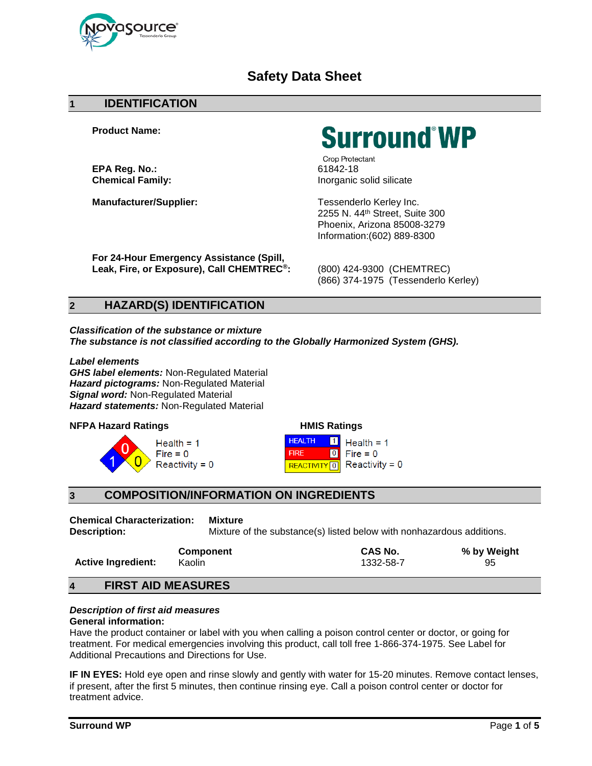

# **Safety Data Sheet**

#### **1 IDENTIFICATION**

**Product Name:**

**EPA Reg. No.:**<br> **Chemical Family:**<br> **Chemical Family:**<br> **Chemical Family:** 

**Manufacturer/Supplier:** Tessenderlo Kerley Inc.

**Surround WP** 

Crop Protectant **Chemical Family:** Inorganic solid silicate

2255 N. 44th Street, Suite 300 Phoenix, Arizona 85008-3279 Information:(602) 889-8300

**For 24-Hour Emergency Assistance (Spill, Leak, Fire, or Exposure), Call CHEMTREC®:** (800) 424-9300 (CHEMTREC)

(866) 374-1975 (Tessenderlo Kerley)

# **2 HAZARD(S) IDENTIFICATION**

*Classification of the substance or mixture The substance is not classified according to the Globally Harmonized System (GHS).*

*Label elements GHS label elements:* Non-Regulated Material *Hazard pictograms:* Non-Regulated Material **Signal word: Non-Regulated Material** *Hazard statements:* Non-Regulated Material

#### **NFPA Hazard Ratings**



| <b>HMIS Ratings</b>     |                   |                  |  |  |
|-------------------------|-------------------|------------------|--|--|
| <b>HEALTH</b>           | $\vert$ 1 $\vert$ | $Health = 1$     |  |  |
| <b>FIRE</b>             | I O I             | $Fire = 0$       |  |  |
| REACTIVITY <sup>0</sup> |                   | $Reactivity = 0$ |  |  |

# **3 COMPOSITION/INFORMATION ON INGREDIENTS**

**Chemical Characterization: Mixture Description:** Mixture **Description:** Mixture of the substance(s) listed below with nonhazardous additions.

|                           | <b>Component</b> | CAS No.   | % by Weight |
|---------------------------|------------------|-----------|-------------|
| <b>Active Ingredient:</b> | Kaolin           | 1332-58-7 | 95          |

### **4 FIRST AID MEASURES**

### *Description of first aid measures*

#### **General information:**

Have the product container or label with you when calling a poison control center or doctor, or going for treatment. For medical emergencies involving this product, call toll free 1-866-374-1975. See Label for Additional Precautions and Directions for Use.

**IF IN EYES:** Hold eye open and rinse slowly and gently with water for 15-20 minutes. Remove contact lenses, if present, after the first 5 minutes, then continue rinsing eye. Call a poison control center or doctor for treatment advice.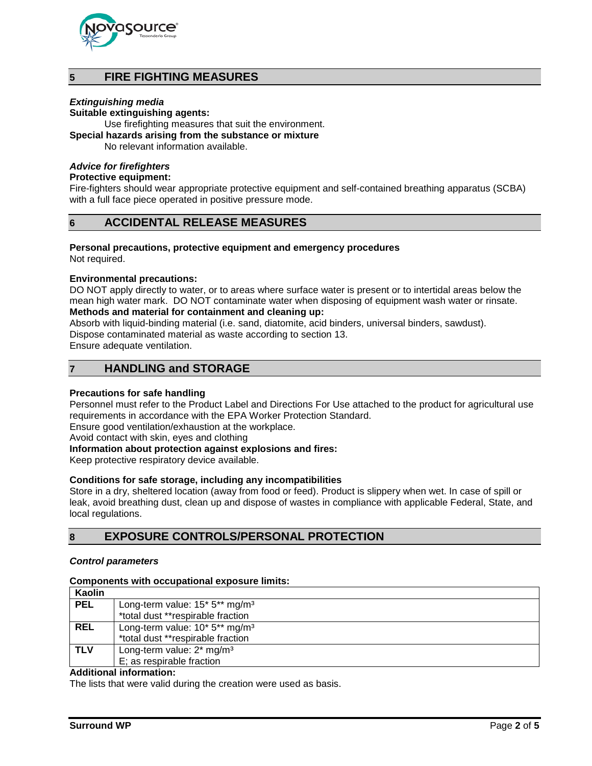

# **5 FIRE FIGHTING MEASURES**

#### *Extinguishing media*

**Suitable extinguishing agents:**

Use firefighting measures that suit the environment.

**Special hazards arising from the substance or mixture**

No relevant information available.

#### *Advice for firefighters*

#### **Protective equipment:**

Fire-fighters should wear appropriate protective equipment and self-contained breathing apparatus (SCBA) with a full face piece operated in positive pressure mode.

### **6 ACCIDENTAL RELEASE MEASURES**

#### **Personal precautions, protective equipment and emergency procedures**

Not required.

#### **Environmental precautions:**

DO NOT apply directly to water, or to areas where surface water is present or to intertidal areas below the mean high water mark. DO NOT contaminate water when disposing of equipment wash water or rinsate. **Methods and material for containment and cleaning up:**

# Absorb with liquid-binding material (i.e. sand, diatomite, acid binders, universal binders, sawdust).

Dispose contaminated material as waste according to section 13.

Ensure adequate ventilation.

### **7 HANDLING and STORAGE**

#### **Precautions for safe handling**

Personnel must refer to the Product Label and Directions For Use attached to the product for agricultural use requirements in accordance with the EPA Worker Protection Standard.

Ensure good ventilation/exhaustion at the workplace.

Avoid contact with skin, eyes and clothing

#### **Information about protection against explosions and fires:**

Keep protective respiratory device available.

#### **Conditions for safe storage, including any incompatibilities**

Store in a dry, sheltered location (away from food or feed). Product is slippery when wet. In case of spill or leak, avoid breathing dust, clean up and dispose of wastes in compliance with applicable Federal, State, and local regulations.

### **8 EXPOSURE CONTROLS/PERSONAL PROTECTION**

#### *Control parameters*

#### **Components with occupational exposure limits:**

| Kaolin     |                                              |
|------------|----------------------------------------------|
| <b>PEL</b> | Long-term value: $15*5**mg/m3$               |
|            | *total dust **respirable fraction            |
| <b>REL</b> | Long-term value: $10* 5**$ mg/m <sup>3</sup> |
|            | *total dust **respirable fraction            |
| <b>TLV</b> | Long-term value: 2* mg/m <sup>3</sup>        |
|            | E; as respirable fraction                    |

#### **Additional information:**

The lists that were valid during the creation were used as basis.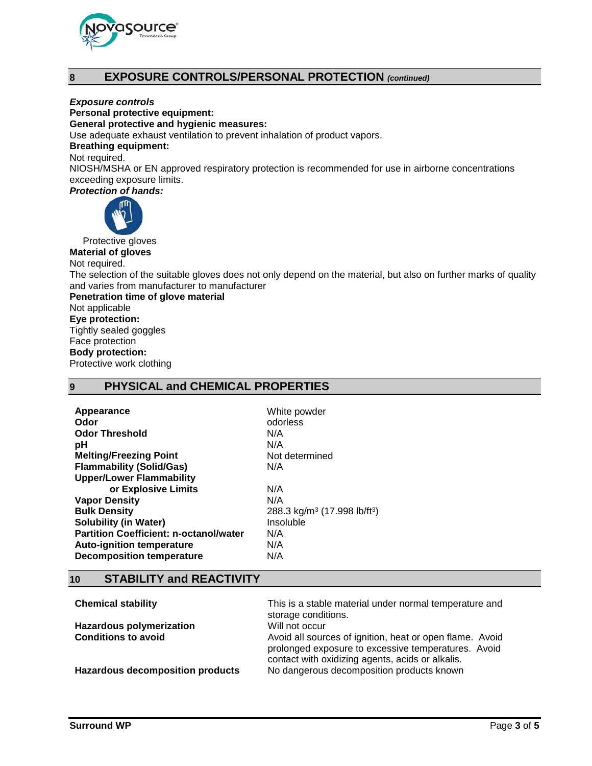

# **8 EXPOSURE CONTROLS/PERSONAL PROTECTION** *(continued)*

*Exposure controls*

**Personal protective equipment:**

**General protective and hygienic measures:**

Use adequate exhaust ventilation to prevent inhalation of product vapors.

#### **Breathing equipment:**

Not required.

NIOSH/MSHA or EN approved respiratory protection is recommended for use in airborne concentrations exceeding exposure limits.

*Protection of hands:*



Protective gloves

**Material of gloves** Not required.

The selection of the suitable gloves does not only depend on the material, but also on further marks of quality and varies from manufacturer to manufacturer

**Penetration time of glove material** Not applicable **Eye protection:** Tightly sealed goggles Face protection **Body protection:** Protective work clothing

### **9 PHYSICAL and CHEMICAL PROPERTIES**

| White powder                                         |
|------------------------------------------------------|
| odorless                                             |
| N/A                                                  |
| N/A                                                  |
| Not determined                                       |
| N/A                                                  |
|                                                      |
| N/A                                                  |
| N/A                                                  |
| 288.3 kg/m <sup>3</sup> (17.998 lb/ft <sup>3</sup> ) |
| Insoluble                                            |
| N/A                                                  |
| N/A                                                  |
| N/A                                                  |
|                                                      |

### **10 STABILITY and REACTIVITY**

| <b>Chemical stability</b>               | This is a stable material under normal temperature and<br>storage conditions.                                                                                       |  |
|-----------------------------------------|---------------------------------------------------------------------------------------------------------------------------------------------------------------------|--|
| <b>Hazardous polymerization</b>         | Will not occur                                                                                                                                                      |  |
| <b>Conditions to avoid</b>              | Avoid all sources of ignition, heat or open flame. Avoid<br>prolonged exposure to excessive temperatures. Avoid<br>contact with oxidizing agents, acids or alkalis. |  |
| <b>Hazardous decomposition products</b> | No dangerous decomposition products known                                                                                                                           |  |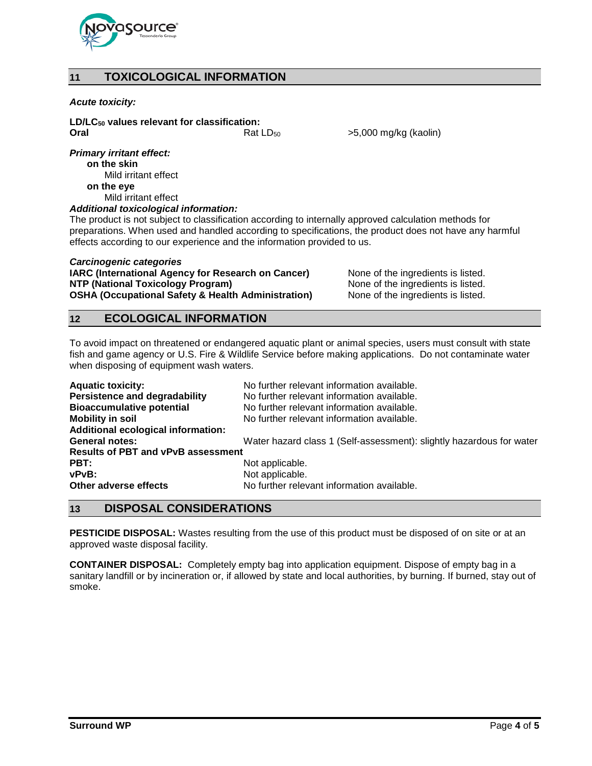

# **11 TOXICOLOGICAL INFORMATION**

#### *Acute toxicity:*

**LD/LC50 values relevant for classification: Oral Case 2.1 Coral** Rat LD<sub>50</sub>  $>$ 5,000 mg/kg (kaolin)

*Primary irritant effect:* **on the skin**

Mild irritant effect **on the eye** Mild irritant effect

#### *Additional toxicological information:*

The product is not subject to classification according to internally approved calculation methods for preparations. When used and handled according to specifications, the product does not have any harmful effects according to our experience and the information provided to us.

#### *Carcinogenic categories*

**IARC (International Agency for Research on Cancer)** None of the ingredients is listed.<br>
None of the ingredients is listed. **NTP (National Toxicology Program)** None of the ingredients is listed.<br>
OSHA (Occupational Safety & Health Administration) None of the ingredients is listed. **OSHA (Occupational Safety & Health Administration)** 

## **12 ECOLOGICAL INFORMATION**

To avoid impact on threatened or endangered aquatic plant or animal species, users must consult with state fish and game agency or U.S. Fire & Wildlife Service before making applications. Do not contaminate water when disposing of equipment wash waters.

| <b>Aquatic toxicity:</b>                  | No further relevant information available.                           |
|-------------------------------------------|----------------------------------------------------------------------|
| <b>Persistence and degradability</b>      | No further relevant information available.                           |
| <b>Bioaccumulative potential</b>          | No further relevant information available.                           |
| <b>Mobility in soil</b>                   | No further relevant information available.                           |
| <b>Additional ecological information:</b> |                                                                      |
| <b>General notes:</b>                     | Water hazard class 1 (Self-assessment): slightly hazardous for water |
| <b>Results of PBT and vPvB assessment</b> |                                                                      |
| PBT:                                      | Not applicable.                                                      |
| vPvB:                                     | Not applicable.                                                      |
| Other adverse effects                     | No further relevant information available.                           |

### **13 DISPOSAL CONSIDERATIONS**

**PESTICIDE DISPOSAL:** Wastes resulting from the use of this product must be disposed of on site or at an approved waste disposal facility.

**CONTAINER DISPOSAL:** Completely empty bag into application equipment. Dispose of empty bag in a sanitary landfill or by incineration or, if allowed by state and local authorities, by burning. If burned, stay out of smoke.